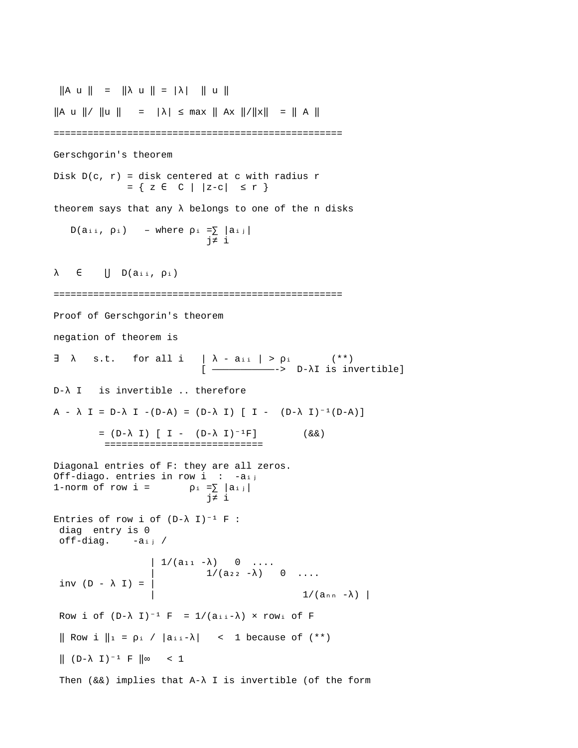$\|A \cup \|$  =  $\| \lambda \cup \|$  =  $\| \lambda \|$   $\| \cup \|$  $\|A \cup \| / \|u\| = |\lambda| \leq \max \|Ax\| / \|x\| = \|A\|$ =================================================== Gerschgorin's theorem Disk  $D(c, r) = disk$  centered at c with radius r = { z C | |z-c| ≤ r } ∈ theorem says that any  $\lambda$  belongs to one of the n disks D( $a_{i,i}$ ,  $p_i$ ) – where  $p_i = \sum |a_{i,j}|$  j≠ i  $\lambda$   $\in$   $||$   $D(a_{i,i}, p_{i})$ =================================================== Proof of Gerschgorin's theorem negation of theorem is  $\exists$   $\lambda$  s.t. for all i  $|\lambda$  - aii  $| > \rho$ i (\*\*) [ ———————————-> D-λI is invertible] D-λ I is invertible .. therefore  $A - \lambda I = D - \lambda I - (D - A) = (D - \lambda I) [I - (D - \lambda I)^{-1}(D - A)]$  $= (D - \lambda I) [I - (D - \lambda I)^{-1}F]$  (&&) ============================ Diagonal entries of F: they are all zeros. Off-diago. entries in row  $i : -a_{i,j}$ 1-norm of row  $i =$  $\begin{array}{rl} \rho_{\, \text{i}} & = \sum\limits_{\, \text{j} \, \neq \, \, \text{i}} \mid a_{\, \text{i} \, \text{j}} \mid \\ & \text{j} \neq \, \, \text{i} \end{array}$ Entries of row i of  $(D-\lambda I)^{-1} F$  : diag entry is 0  $off$ -diag. -aij/  $\left( \begin{array}{cc} 1/(a_{11} - \lambda) & 0 & \ldots \end{array} \right)$  $(2a_2 - \lambda)$  0 ... inv (D -  $\lambda$  I) = |  $1/(a_{nn} - \lambda)$  | Row i of  $(D-\lambda I)^{-1}$  F =  $1/(a_{\text{ii}}-\lambda)$  × row i of F  $\parallel$  Row i  $\parallel$ <sub>1</sub> =  $\rho$ <sub>i</sub> /  $\vert$ a<sub>ii</sub>- $\lambda$  $\vert$  < 1 because of (\*\*)  $\parallel$  (D- $\lambda$  I)<sup>-1</sup> F  $\parallel \infty$  < 1 Then (&&) implies that A-λ I is invertible (of the form